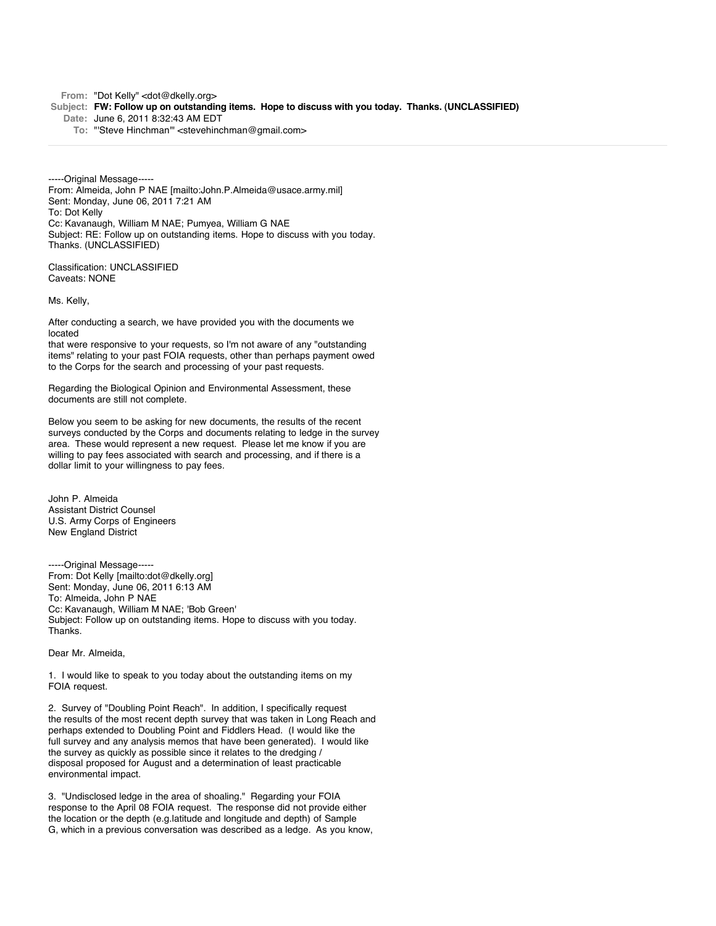From: "Dot Kelly" <dot@dkelly.org>

- **Subject: FW: Follow up on outstanding items. Hope to discuss with you today. Thanks. (UNCLASSIFIED)**
	- **Date:** June 6, 2011 8:32:43 AM EDT
		- **To:** "'Steve Hinchman'" <stevehinchman@gmail.com>

-----Original Message----- From: Almeida, John P NAE [mailto:John.P.Almeida@usace.army.mil] Sent: Monday, June 06, 2011 7:21 AM To: Dot Kelly Cc: Kavanaugh, William M NAE; Pumyea, William G NAE Subject: RE: Follow up on outstanding items. Hope to discuss with you today. Thanks. (UNCLASSIFIED)

Classification: UNCLASSIFIED Caveats: NONE

Ms. Kelly,

After conducting a search, we have provided you with the documents we located

that were responsive to your requests, so I'm not aware of any "outstanding items" relating to your past FOIA requests, other than perhaps payment owed to the Corps for the search and processing of your past requests.

Regarding the Biological Opinion and Environmental Assessment, these documents are still not complete.

Below you seem to be asking for new documents, the results of the recent surveys conducted by the Corps and documents relating to ledge in the survey area. These would represent a new request. Please let me know if you are willing to pay fees associated with search and processing, and if there is a dollar limit to your willingness to pay fees.

John P. Almeida Assistant District Counsel U.S. Army Corps of Engineers New England District

-----Original Message----- From: Dot Kelly [mailto:dot@dkelly.org] Sent: Monday, June 06, 2011 6:13 AM To: Almeida, John P NAE Cc: Kavanaugh, William M NAE; 'Bob Green' Subject: Follow up on outstanding items. Hope to discuss with you today. Thanks.

## Dear Mr. Almeida,

1. I would like to speak to you today about the outstanding items on my FOIA request.

2. Survey of "Doubling Point Reach". In addition, I specifically request the results of the most recent depth survey that was taken in Long Reach and perhaps extended to Doubling Point and Fiddlers Head. (I would like the full survey and any analysis memos that have been generated). I would like the survey as quickly as possible since it relates to the dredging / disposal proposed for August and a determination of least practicable environmental impact.

3. "Undisclosed ledge in the area of shoaling." Regarding your FOIA response to the April 08 FOIA request. The response did not provide either the location or the depth (e.g.latitude and longitude and depth) of Sample G, which in a previous conversation was described as a ledge. As you know,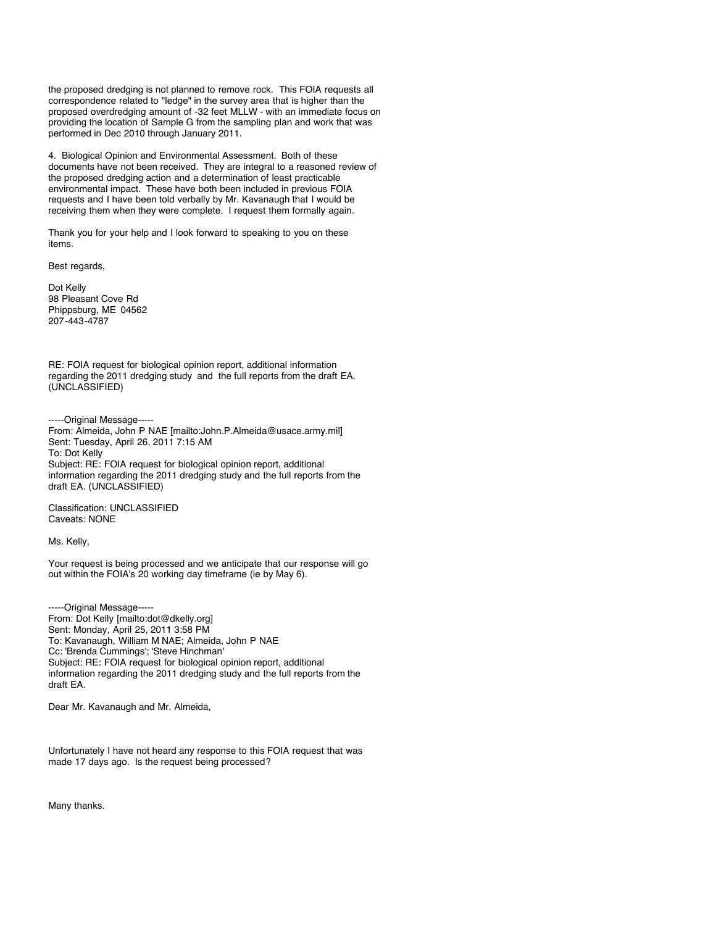the proposed dredging is not planned to remove rock. This FOIA requests all correspondence related to "ledge" in the survey area that is higher than the proposed overdredging amount of -32 feet MLLW - with an immediate focus on providing the location of Sample G from the sampling plan and work that was performed in Dec 2010 through January 2011.

4. Biological Opinion and Environmental Assessment. Both of these documents have not been received. They are integral to a reasoned review of the proposed dredging action and a determination of least practicable environmental impact. These have both been included in previous FOIA requests and I have been told verbally by Mr. Kavanaugh that I would be receiving them when they were complete. I request them formally again.

Thank you for your help and I look forward to speaking to you on these items.

Best regards,

Dot Kelly 98 Pleasant Cove Rd Phippsburg, ME 04562 207-443-4787

RE: FOIA request for biological opinion report, additional information regarding the 2011 dredging study and the full reports from the draft EA. (UNCLASSIFIED)

-----Original Message-----

From: Almeida, John P NAE [mailto:John.P.Almeida@usace.army.mil] Sent: Tuesday, April 26, 2011 7:15 AM To: Dot Kelly Subject: RE: FOIA request for biological opinion report, additional information regarding the 2011 dredging study and the full reports from the draft EA. (UNCLASSIFIED)

Classification: UNCLASSIFIED Caveats: NONE

Ms. Kelly,

Your request is being processed and we anticipate that our response will go out within the FOIA's 20 working day timeframe (ie by May 6).

-----Original Message----- From: Dot Kelly [mailto:dot@dkelly.org] Sent: Monday, April 25, 2011 3:58 PM To: Kavanaugh, William M NAE; Almeida, John P NAE Cc: 'Brenda Cummings'; 'Steve Hinchman' Subject: RE: FOIA request for biological opinion report, additional information regarding the 2011 dredging study and the full reports from the draft EA.

Dear Mr. Kavanaugh and Mr. Almeida,

Unfortunately I have not heard any response to this FOIA request that was made 17 days ago. Is the request being processed?

Many thanks.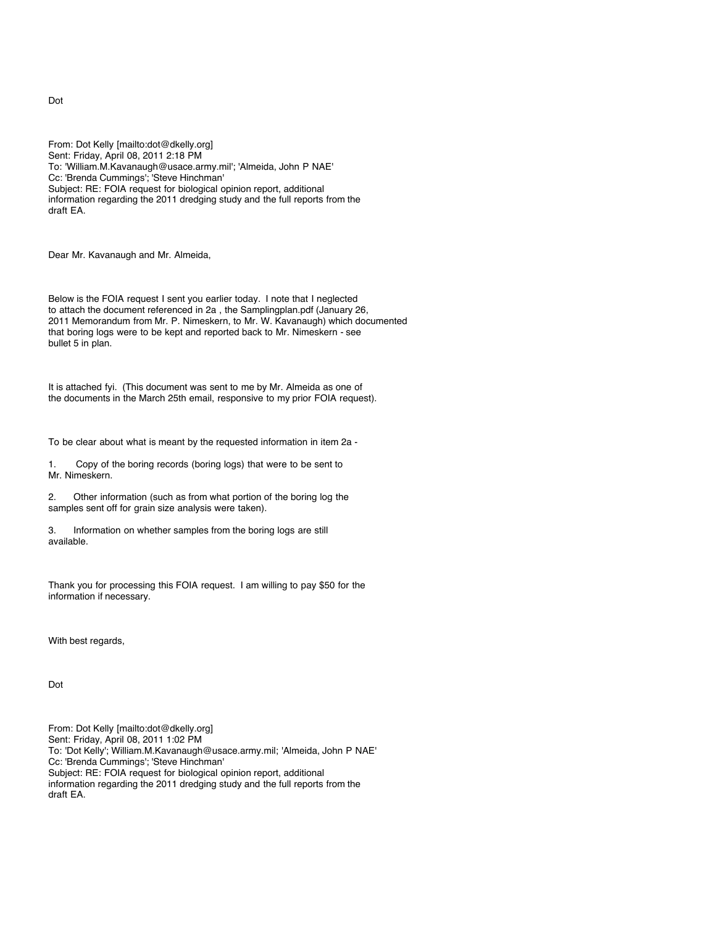From: Dot Kelly [mailto:dot@dkelly.org] Sent: Friday, April 08, 2011 2:18 PM To: 'William.M.Kavanaugh@usace.army.mil'; 'Almeida, John P NAE' Cc: 'Brenda Cummings'; 'Steve Hinchman' Subject: RE: FOIA request for biological opinion report, additional information regarding the 2011 dredging study and the full reports from the draft EA.

Dear Mr. Kavanaugh and Mr. Almeida,

Below is the FOIA request I sent you earlier today. I note that I neglected to attach the document referenced in 2a , the Samplingplan.pdf (January 26, 2011 Memorandum from Mr. P. Nimeskern, to Mr. W. Kavanaugh) which documented that boring logs were to be kept and reported back to Mr. Nimeskern - see bullet 5 in plan.

It is attached fyi. (This document was sent to me by Mr. Almeida as one of the documents in the March 25th email, responsive to my prior FOIA request).

To be clear about what is meant by the requested information in item 2a -

1. Copy of the boring records (boring logs) that were to be sent to Mr. Nimeskern.

2. Other information (such as from what portion of the boring log the samples sent off for grain size analysis were taken).

3. Information on whether samples from the boring logs are still available.

Thank you for processing this FOIA request. I am willing to pay \$50 for the information if necessary.

With best regards,

Dot

From: Dot Kelly [mailto:dot@dkelly.org] Sent: Friday, April 08, 2011 1:02 PM To: 'Dot Kelly'; William.M.Kavanaugh@usace.army.mil; 'Almeida, John P NAE' Cc: 'Brenda Cummings'; 'Steve Hinchman' Subject: RE: FOIA request for biological opinion report, additional information regarding the 2011 dredging study and the full reports from the draft EA.

Dot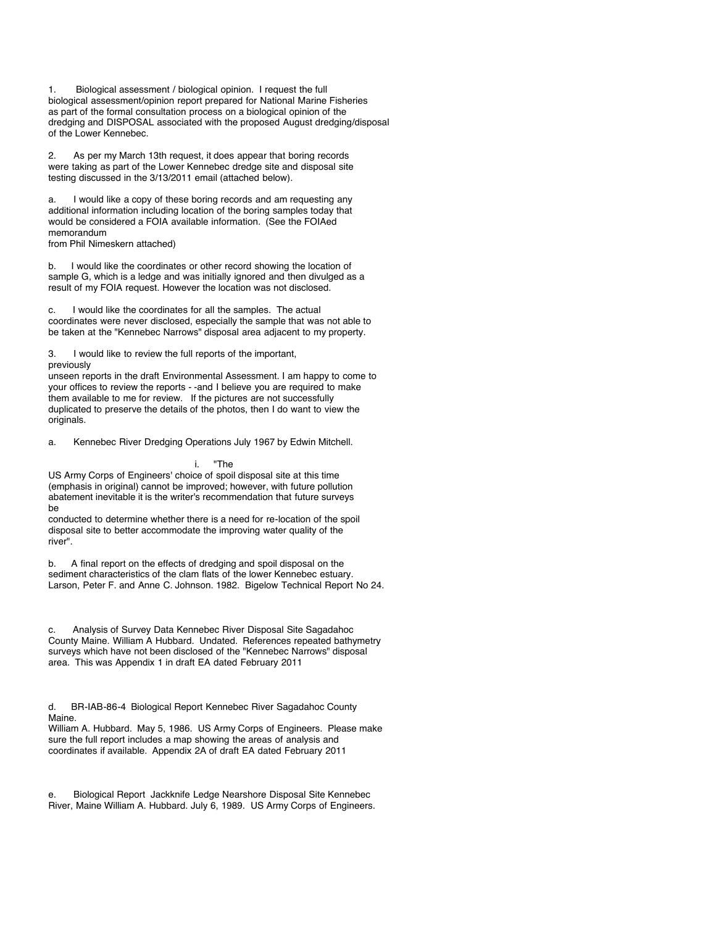1. Biological assessment / biological opinion. I request the full biological assessment/opinion report prepared for National Marine Fisheries as part of the formal consultation process on a biological opinion of the dredging and DISPOSAL associated with the proposed August dredging/disposal of the Lower Kennebec.

2. As per my March 13th request, it does appear that boring records were taking as part of the Lower Kennebec dredge site and disposal site testing discussed in the 3/13/2011 email (attached below).

a. I would like a copy of these boring records and am requesting any additional information including location of the boring samples today that would be considered a FOIA available information. (See the FOIAed memorandum

from Phil Nimeskern attached)

b. I would like the coordinates or other record showing the location of sample G, which is a ledge and was initially ignored and then divulged as a result of my FOIA request. However the location was not disclosed.

c. I would like the coordinates for all the samples. The actual coordinates were never disclosed, especially the sample that was not able to be taken at the "Kennebec Narrows" disposal area adjacent to my property.

3. I would like to review the full reports of the important, previously

unseen reports in the draft Environmental Assessment. I am happy to come to your offices to review the reports - -and I believe you are required to make them available to me for review. If the pictures are not successfully duplicated to preserve the details of the photos, then I do want to view the originals.

a. Kennebec River Dredging Operations July 1967 by Edwin Mitchell.

i. "The

US Army Corps of Engineers' choice of spoil disposal site at this time (emphasis in original) cannot be improved; however, with future pollution abatement inevitable it is the writer's recommendation that future surveys be

conducted to determine whether there is a need for re-location of the spoil disposal site to better accommodate the improving water quality of the river".

b. A final report on the effects of dredging and spoil disposal on the sediment characteristics of the clam flats of the lower Kennebec estuary. Larson, Peter F. and Anne C. Johnson. 1982. Bigelow Technical Report No 24.

c. Analysis of Survey Data Kennebec River Disposal Site Sagadahoc County Maine. William A Hubbard. Undated. References repeated bathymetry surveys which have not been disclosed of the "Kennebec Narrows" disposal area. This was Appendix 1 in draft EA dated February 2011

d. BR-IAB-86-4 Biological Report Kennebec River Sagadahoc County Maine.

William A. Hubbard. May 5, 1986. US Army Corps of Engineers. Please make sure the full report includes a map showing the areas of analysis and coordinates if available. Appendix 2A of draft EA dated February 2011

e. Biological Report Jackknife Ledge Nearshore Disposal Site Kennebec River, Maine William A. Hubbard. July 6, 1989. US Army Corps of Engineers.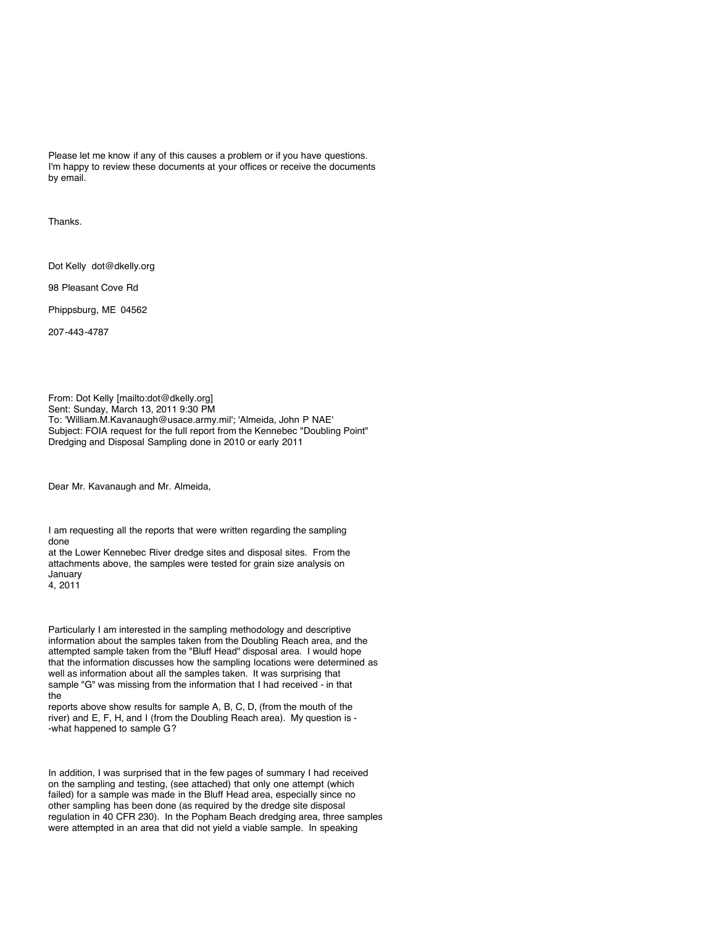Please let me know if any of this causes a problem or if you have questions. I'm happy to review these documents at your offices or receive the documents by email.

Thanks.

Dot Kelly dot@dkelly.org

98 Pleasant Cove Rd

Phippsburg, ME 04562

207-443-4787

From: Dot Kelly [mailto:dot@dkelly.org] Sent: Sunday, March 13, 2011 9:30 PM To: 'William.M.Kavanaugh@usace.army.mil'; 'Almeida, John P NAE' Subject: FOIA request for the full report from the Kennebec "Doubling Point" Dredging and Disposal Sampling done in 2010 or early 2011

Dear Mr. Kavanaugh and Mr. Almeida,

I am requesting all the reports that were written regarding the sampling done

at the Lower Kennebec River dredge sites and disposal sites. From the attachments above, the samples were tested for grain size analysis on January 4, 2011

Particularly I am interested in the sampling methodology and descriptive information about the samples taken from the Doubling Reach area, and the attempted sample taken from the "Bluff Head" disposal area. I would hope that the information discusses how the sampling locations were determined as well as information about all the samples taken. It was surprising that sample "G" was missing from the information that I had received - in that the

reports above show results for sample A, B, C, D, (from the mouth of the river) and E, F, H, and I (from the Doubling Reach area). My question is - -what happened to sample G?

In addition, I was surprised that in the few pages of summary I had received on the sampling and testing, (see attached) that only one attempt (which failed) for a sample was made in the Bluff Head area, especially since no other sampling has been done (as required by the dredge site disposal regulation in 40 CFR 230). In the Popham Beach dredging area, three samples were attempted in an area that did not yield a viable sample. In speaking